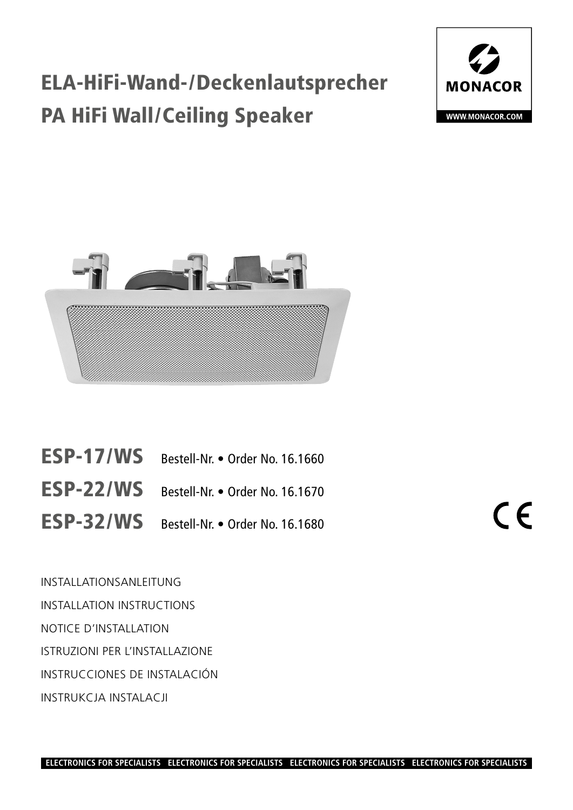# ELA-HiFi-Wand-/Deckenlautsprecher PA HiFi Wall/Ceiling Speaker





| ESP-17/WS Bestell-Nr. • Order No. 16.1660 |
|-------------------------------------------|
| ESP-22/WS Bestell-Nr. • Order No. 16.1670 |
| ESP-32/WS Bestell-Nr. • Order No. 16.1680 |

II-Nr. • Order No. 16.1680

INSTALLATIONSANLEITUNG INSTALLATION INSTRUCTIONS NOTICE D'INSTALLATION ISTRUZIONI PER L'INSTALLAZIONE INSTRUCCIONES DE INSTALACIÓN INSTRUKCJA INSTALACJI

 $\epsilon$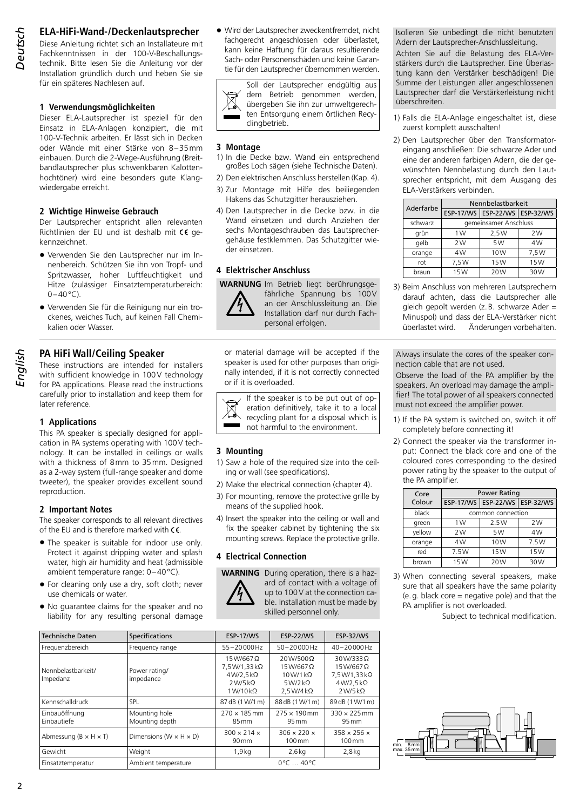# 2 *Deutsch English*

# **ELA-HiFi-Wand-/Deckenlautsprecher**

Diese Anleitung richtet sich an Installateure mit Fachkenntnissen in der 100-V-Beschallungstechnik. Bitte lesen Sie die Anleitung vor der Installation gründlich durch und heben Sie sie für ein späteres Nachlesen auf.

### **1 Verwendungsmöglichkeiten**

Dieser ELA-Lautsprecher ist speziell für den Einsatz in ELA-Anlagen konzipiert, die mit 100-V-Technik arbeiten. Er lässt sich in Decken oder Wände mit einer Stärke von 8–35mm einbauen. Durch die 2-Wege-Ausführung (Breitbandlautsprecher plus schwenkbaren Kalottenhochtöner) wird eine besonders gute Klangwiedergabe erreicht.

### **2 Wichtige Hinweise Gebrauch**

Der Lautsprecher entspricht allen relevanten Richtlinien der EU und ist deshalb mit CC gekennzeichnet.

- Verwenden Sie den Lautsprecher nur im Innenbereich. Schützen Sie ihn von Tropf- und Spritzwasser, hoher Luftfeuchtigkeit und Hitze (zulässiger Einsatztemperaturbereich:  $0-40$ °C).
- Verwenden Sie für die Reinigung nur ein trockenes, weiches Tuch, auf keinen Fall Chemikalien oder Wasser.

# **PA HiFi Wall/Ceiling Speaker**

These instructions are intended for installers with sufficient knowledge in 100V technology for PA applications. Please read the instructions carefully prior to installation and keep them for later reference.

# **1 Applications**

This PA speaker is specially designed for application in PA systems operating with 100V technology. It can be installed in ceilings or walls with a thickness of 8mm to 35mm. Designed as a 2-way system (full-range speaker and dome tweeter), the speaker provides excellent sound reproduction.

### **2 Important Notes**

The speaker corresponds to all relevant directives of the EU and is therefore marked with  $\mathsf{CE}$ .

- The speaker is suitable for indoor use only. Protect it against dripping water and splash water, high air humidity and heat (admissible ambient temperature range: 0–40°C).
- For cleaning only use a dry, soft cloth; never use chemicals or water.
- No guarantee claims for the speaker and no liability for any resulting personal damage

• Wird der Lautsprecher zweckentfremdet, nicht fachgerecht angeschlossen oder überlastet, kann keine Haftung für daraus resultierende Sach- oder Personenschäden und keine Garantie für den Lautsprecher übernommen werden.

Soll der Lautsprecher endgültig aus dem Betrieb genommen werden,  $\boxtimes$ übergeben Sie ihn zur umweltgerechten Entsorgung einem örtlichen Recyclingbetrieb.

### **3 Montage**

- 1) In die Decke bzw. Wand ein entsprechend großes Loch sägen (siehe Technische Daten).
- 2) Den elektrischen Anschluss herstellen (Kap. 4).
- 3) Zur Montage mit Hilfe des beiliegenden Hakens das Schutzgitter herausziehen.
- 4) Den Lautsprecher in die Decke bzw. in die Wand einsetzen und durch Anziehen der sechs Montageschrauben das Lautsprechergehäuse festklemmen. Das Schutzgitter wieder einsetzen.

### **4 Elektrischer Anschluss**

**WARNUNG** Im Betrieb liegt berührungsge-



fährliche Spannung bis 100V an der Anschlussleitung an. Die Installation darf nur durch Fachpersonal erfolgen.

or material damage will be accepted if the speaker is used for other purposes than originally intended, if it is not correctly connected or if it is overloaded.

If the speaker is to be put out of operation definitively, take it to a local recycling plant for a disposal which is not harmful to the environment. ۰

# **3 Mounting**

- 1) Saw a hole of the required size into the ceiling or wall (see specifications).
- 2) Make the electrical connection (chapter 4).
- 3) For mounting, remove the protective grille by means of the supplied hook.
- 4) Insert the speaker into the ceiling or wall and fix the speaker cabinet by tightening the six mounting screws. Replace the protective grille.

### **4 Electrical Connection**



**WARNING** During operation, there is a hazard of contact with a voltage of up to 100V at the connection cable. Installation must be made by skilled personnel only.

| <b>Technische Daten</b>             | Specifications                       | <b>ESP-17/WS</b>                                                                               | <b>ESP-22/WS</b>                                                                         | <b>ESP-32/WS</b>                                                                       |
|-------------------------------------|--------------------------------------|------------------------------------------------------------------------------------------------|------------------------------------------------------------------------------------------|----------------------------------------------------------------------------------------|
| Frequenzbereich                     | Frequency range                      | $55 - 20000$ Hz                                                                                | 50-20000Hz                                                                               | $40 - 20000$ Hz                                                                        |
| Nennbelastbarkeit/<br>Impedanz      | Power rating/<br>impedance           | $15W/667$ $\Omega$<br>7,5 W/1,33 kΩ<br>$4W/2,5k\Omega$<br>$2$ W/5 kΩ<br>$1$ W/ $10$ k $\Omega$ | 20 W/500 Q<br>$15W/667$ $\Omega$<br>$10W/1k\Omega$<br>$5W/2k\Omega$<br>$2.5 W/4 k\Omega$ | 30W/333Q<br>$15W/667$ $\Omega$<br>7,5 W/1,33 kΩ<br>$4 W/2, 5 k\Omega$<br>$2W/5k\Omega$ |
| Kennschalldruck                     | SPL.                                 | 87 dB (1 W/1 m)                                                                                | 88 dB (1 W/1 m)                                                                          | 89dB (1W/1m)                                                                           |
| Einbauöffnung<br>Einbautiefe        | Mounting hole<br>Mounting depth      | $270 \times 185$ mm<br>85 mm                                                                   | $275 \times 190$ mm<br>95 mm                                                             | $330 \times 225$ mm<br>95 mm                                                           |
| Abmessung ( $B \times H \times T$ ) | Dimensions (W $\times$ H $\times$ D) | $300 \times 214 \times$<br>$90 \,\mathrm{mm}$                                                  | $306 \times 220 \times$<br>$100 \,\mathrm{mm}$                                           | $358 \times 256 \times$<br>100 mm                                                      |
| Gewicht                             | Weight                               | 1,9kq                                                                                          | $2.6$ kg                                                                                 | $2,8$ kg                                                                               |
| Einsatztemperatur                   | Ambient temperature                  | $0^{\circ}$ C $$ 40 $^{\circ}$ C                                                               |                                                                                          |                                                                                        |

Isolieren Sie unbedingt die nicht benutzten Adern der Lautsprecher-Anschlussleitung.

Achten Sie auf die Belastung des ELA-Verstärkers durch die Lautsprecher. Eine Überlastung kann den Verstärker beschädigen! Die Summe der Leistungen aller angeschlossenen Lautsprecher darf die Verstärkerleistung nicht überschreiten.

- 1) Falls die ELA-Anlage eingeschaltet ist, diese zuerst komplett ausschalten!
- 2) Den Lautsprecher über den Transformatoreingang anschließen: Die schwarze Ader und eine der anderen farbigen Adern, die der gewünschten Nennbelastung durch den Lautsprecher entspricht, mit dem Ausgang des ELA-Verstärkers verbinden.

| Aderfarbe | Nennbelastbarkeit     |                                   |      |
|-----------|-----------------------|-----------------------------------|------|
|           |                       | ESP-17/WS   ESP-22/WS   ESP-32/WS |      |
| schwarz   | gemeinsamer Anschluss |                                   |      |
| grün      | 1W                    | 2,5W                              | 2W   |
| qelb      | 2W                    | 5W                                | 4W   |
| orange    | 4W                    | 10W                               | 7,5W |
| rot       | 7.5W                  | 15W                               | 15W  |
| braun     | 15W                   | 20W                               | 30W  |

3) Beim Anschluss von mehreren Lautsprechern darauf achten, dass die Lautsprecher alle gleich gepolt werden (z.B. schwarze Ader = Minuspol) und dass der ELA-Verstärker nicht überlastet wird. Änderungen vorbehalten.

Always insulate the cores of the speaker connection cable that are not used.

Observe the load of the PA amplifier by the speakers. An overload may damage the amplifier! The total power of all speakers connected must not exceed the amplifier power.

- 1) If the PA system is switched on, switch it off completely before connecting it!
- 2) Connect the speaker via the transformer input: Connect the black core and one of the coloured cores corresponding to the desired power rating by the speaker to the output of the PA amplifier.

| Core   | <b>Power Rating</b> |                                   |      |  |
|--------|---------------------|-----------------------------------|------|--|
| Colour |                     | ESP-17/WS   ESP-22/WS   ESP-32/WS |      |  |
| black  |                     | common connection                 |      |  |
| green  | 1 W                 | 2.5W                              | 2W   |  |
| vellow | 2W                  | 5W                                | 4W   |  |
| orange | 4W                  | 10W                               | 7.5W |  |
| red    | 7.5W                | 15W                               | 15W  |  |
| brown  | 15W                 | 20W                               | 30W  |  |

3) When connecting several speakers, make sure that all speakers have the same polarity  $(e, g.$  black core = negative pole) and that the PA amplifier is not overloaded.



Subject to technical modification.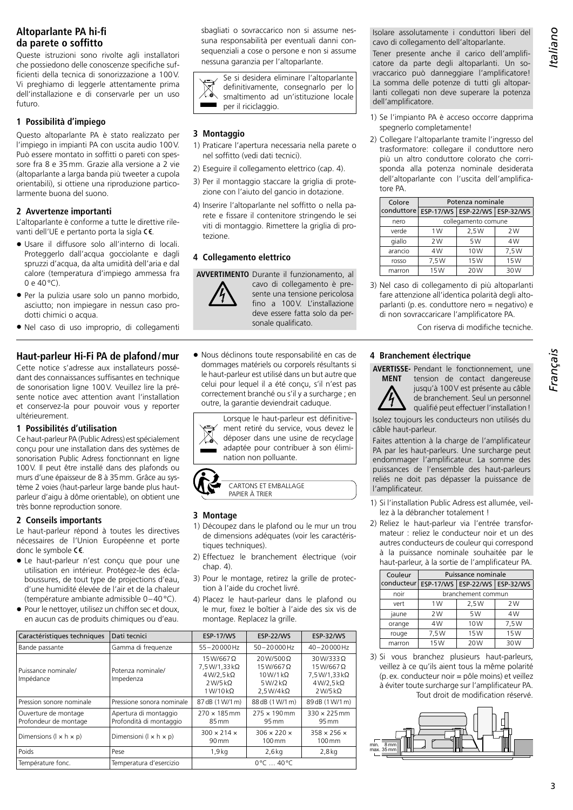# **Altoparlante PA hi-fi da parete o soffitto**

Queste istruzioni sono rivolte agli installatori che possiedono delle conoscenze specifiche sufficienti della tecnica di sonorizzazione a 100V. Vi preghiamo di leggerle attentamente prima dell'installazione e di conservarle per un uso futuro.

### **1 Possibilità d'impiego**

Questo altoparlante PA è stato realizzato per l'impiego in impianti PA con uscita audio 100V. Può essere montato in soffitti o pareti con spessore fra 8 e 35mm. Grazie alla versione a 2 vie (altoparlante a larga banda più tweeter a cupola orientabili), si ottiene una riproduzione particolarmente buona del suono.

### **2 Avvertenze importanti**

L'altoparlante è conforme a tutte le direttive rilevanti dell'UE e pertanto porta la sigla CE.

- Usare il diffusore solo all'interno di locali. Proteggerlo dall'acqua gocciolante e dagli spruzzi d'acqua, da alta umidità dell'aria e dal calore (temperatura d'impiego ammessa fra 0 e 40°C).
- Per la pulizia usare solo un panno morbido, asciutto; non impiegare in nessun caso prodotti chimici o acqua.
- Nel caso di uso improprio, di collegamenti

# **Haut-parleur Hi-Fi PA de plafond/mur**

Cette notice s'adresse aux installateurs possédant des connaissances suffisantes en technique de sonorisation ligne 100V. Veuillez lire la présente notice avec attention avant l'installation et conservez-la pour pouvoir vous y reporter ultérieurement.

### **1 Possibilités d'utilisation**

Ce haut-parleur PA (Public Adress) est spécialement conçu pour une installation dans des systèmes de sonorisation Public Adress fonctionnant en ligne 100V. Il peut être installé dans des plafonds ou murs d'une épaisseur de 8 à 35mm. Grâce au système 2 voies (haut-parleur large bande plus hautparleur d'aigu à dôme orientable), on obtient une très bonne reproduction sonore.

### **2 Conseils importants**

Le haut-parleur répond à toutes les directives nécessaires de l'Union Européenne et porte donc le symbole  $C \in$ .

- Le haut-parleur n'est conçu que pour une utilisation en intérieur. Protégez-le des éclaboussures, de tout type de projections d'eau, d'une humidité élevée de l'air et de la chaleur (température ambiante admissible 0–40°C).
- Pour le nettoyer, utilisez un chiffon sec et doux, en aucun cas de produits chimiques ou d'eau.

sbagliati o sovraccarico non si assume nessuna responsabilità per eventuali danni consequenziali a cose o persone e non si assume nessuna garanzia per l'altoparlante.

Se si desidera eliminare l'altoparlante  $\boxtimes$ definitivamente, consegnarlo per lo smaltimento ad un'istituzione locale per il riciclaggio.

### **3 Montaggio**

- 1) Praticare l'apertura necessaria nella parete o nel soffitto (vedi dati tecnici).
- 2) Eseguire il collegamento elettrico (cap. 4).
- 3) Per il montaggio staccare la griglia di protezione con l'aiuto del gancio in dotazione.
- 4) Inserire l'altoparlante nel soffitto o nella parete e fissare il contenitore stringendo le sei viti di montaggio. Rimettere la griglia di protezione.

### **4 Collegamento elettrico**

**AVVERTIMENTO** Durante il funzionamento, al



cavo di collegamento è presente una tensione pericolosa fino a 100V. L'installazione deve essere fatta solo da personale qualificato.

• Nous déclinons toute responsabilité en cas de dommages matériels ou corporels résultants si le haut-parleur est utilisé dans un but autre que celui pour lequel il a été conçu, s'il n'est pas correctement branché ou s'il y a surcharge ; en outre, la garantie deviendrait caduque.





### **3 Montage**

- 1) Découpez dans le plafond ou le mur un trou de dimensions adéquates (voir les caractéristiques techniques).
- 2) Effectuez le branchement électrique (voir chap. 4).
- 3) Pour le montage, retirez la grille de protection à l'aide du crochet livré.
- 4) Placez le haut-parleur dans le plafond ou le mur, fixez le boîtier à l'aide des six vis de montage. Replacez la grille.

| Caractéristiques techniques                   | Dati tecnici                                     | <b>ESP-17/WS</b>                                                                            | <b>ESP-22/WS</b>                                                                           | <b>ESP-32/WS</b>                                                                        |
|-----------------------------------------------|--------------------------------------------------|---------------------------------------------------------------------------------------------|--------------------------------------------------------------------------------------------|-----------------------------------------------------------------------------------------|
| Bande passante                                | Gamma di freguenze                               | $55 - 20000$ Hz                                                                             | $50 - 20000$ Hz                                                                            | $40 - 20000$ Hz                                                                         |
| Puissance nominale/<br>Impédance              | Potenza nominale/<br>Impedenza                   | $15W/667$ $\Omega$<br>7.5 W/1.33 kΩ<br>$4W/2.5k\Omega$<br>$2W/5k\Omega$<br>$1 W/10 k\Omega$ | 20W/500 Q<br>$15W/667$ $\Omega$<br>$10W/1k\Omega$<br>5 W/2 k $\Omega$<br>$2.5 W/4 k\Omega$ | 30 W/333 Q<br>$15W/667$ $\Omega$<br>7,5 W/1,33 kΩ<br>$4W/2.5k\Omega$<br>$2 W/5 k\Omega$ |
| Pression sonore nominale                      | Pressione sonora nominale                        | 87 dB (1 W/1 m)                                                                             | 88 dB (1 W/1 m)                                                                            | 89 dB (1 W/1 m)                                                                         |
| Ouverture de montage<br>Profondeur de montage | Apertura di montaggio<br>Profondità di montaggio | $270 \times 185$ mm<br>85 mm                                                                | $275 \times 190$ mm<br>$95 \,\mathrm{mm}$                                                  | $330 \times 225$ mm<br>$95 \,\mathrm{mm}$                                               |
| Dimensions ( $ x h x p$ )                     | Dimensioni ( $1 \times h \times p$ )             | $300 \times 214 \times$<br>$90 \,\mathrm{mm}$                                               | $306 \times 220 \times$<br>$100 \,\mathrm{mm}$                                             | $358 \times 256 \times$<br>100 mm                                                       |
| Poids                                         | Pese                                             | 1,9kq                                                                                       | $2,6$ kg                                                                                   | $2,8$ kg                                                                                |
| Température fonc.                             | Temperatura d'esercizio                          | $0^{\circ}$ C $$ 40 °C                                                                      |                                                                                            |                                                                                         |

Isolare assolutamente i conduttori liberi del cavo di collegamento dell'altoparlante.

Tener presente anche il carico dell'amplificatore da parte degli altoparlanti. Un sovraccarico può danneggiare l'amplificatore! La somma delle potenze di tutti gli altoparlanti collegati non deve superare la potenza dell'amplificatore.

- 1) Se l'impianto PA è acceso occorre dapprima spegnerlo completamente!
- 2) Collegare l'altoparlante tramite l'ingresso del trasformatore: collegare il conduttore nero più un altro conduttore colorato che corrisponda alla potenza nominale desiderata dell'altoparlante con l'uscita dell'amplificatore PA.

| Colore     |                     | Potenza nominale                  |      |
|------------|---------------------|-----------------------------------|------|
| conduttore |                     | ESP-17/WS   ESP-22/WS   ESP-32/WS |      |
| nero       | collegamento comune |                                   |      |
| verde      | 1W                  | 2.5W                              | 2W   |
| qiallo     | 2W                  | 5W                                | 4W   |
| arancio    | 4W                  | 10W                               | 7,5W |
| rosso      | 7.5W                | 15W                               | 15W  |
| marron     | 15W                 | 20W                               | 30W  |

3) Nel caso di collegamento di più altoparlanti fare attenzione all'identica polarità degli altoparlanti (p.es. conduttore nero = negativo) e di non sovraccaricare l'amplificatore PA.

Con riserva di modifiche tecniche.

### **4 Branchement électrique**

**MENT**

**AVERTISSE-**Pendant le fonctionnement, une tension de contact dangereuse jusqu'à 100V est présente au câble de branchement. Seul un personnel

qualifié peut effectuer l'installation!

Isolez toujours les conducteurs non utilisés du câble haut-parleur.

Faites attention à la charge de l'amplificateur PA par les haut-parleurs. Une surcharge peut endommager l'amplificateur. La somme des puissances de l'ensemble des haut-parleurs reliés ne doit pas dépasser la puissance de l'amplificateur.

- 1) Si l'installation Public Adress est allumée, veillez à la débrancher totalement !
- 2) Reliez le haut-parleur via l'entrée transformateur : reliez le conducteur noir et un des autres conducteurs de couleur qui correspond à la puissance nominale souhaitée par le haut-parleur, à la sortie de l'amplificateur PA.

| Couleur    | Puissance nominale |                                   |      |
|------------|--------------------|-----------------------------------|------|
| conducteur |                    | ESP-17/WS   ESP-22/WS   ESP-32/WS |      |
| noir       | branchement commun |                                   |      |
| vert       | 1W                 | 2,5W                              | 2W   |
| jaune      | 2W                 | 5W                                | 4W   |
| orange     | 4W                 | 10W                               | 7,5W |
| rouge      | 7,5W               | 15W                               | 15W  |
| marron     | 15W                | 20W                               | 30W  |

3) Si vous branchez plusieurs haut-parleurs, veillez à ce qu'ils aient tous la même polarité (p.ex. conducteur noir = pôle moins) et veillez à éviter toute surcharge sur l'amplificateur PA. Tout droit de modification réservé.